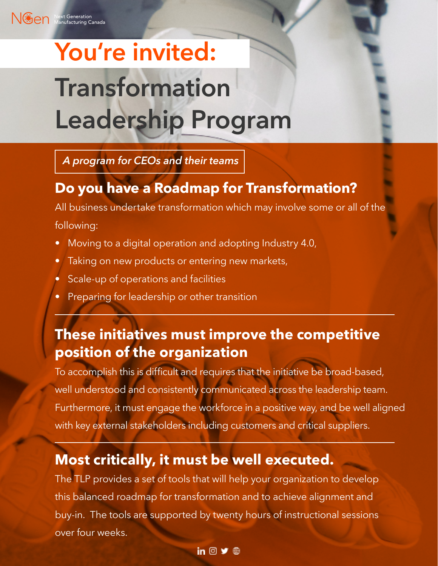# ext Generation<br>anufacturing Canada **You're invited: Transformation Leadership Program**

*A program for CEOs and their teams*

### **Do you have a Roadmap for Transformation?**

All business undertake transformation which may involve some or all of the

following:

- Moving to a digital operation and adopting Industry 4.0,
- Taking on new products or entering new markets,
- Scale-up of operations and facilities
- Preparing for leadership or other transition

### **These initiatives must improve the competitive position of the organization**

To accomplish this is difficult and requires that the initiative be broad-based, well understood and consistently communicated across the leadership team. Furthermore, it must engage the workforce in a positive way, and be well aligned with key external stakeholders including customers and critical suppliers.

#### **Most critically, it must be well executed.**

The TLP provides a set of tools that will help your organization to develop this balanced roadmap for transformation and to achieve alignment and buy-in. The tools are supported by twenty hours of instructional sessions over four weeks.

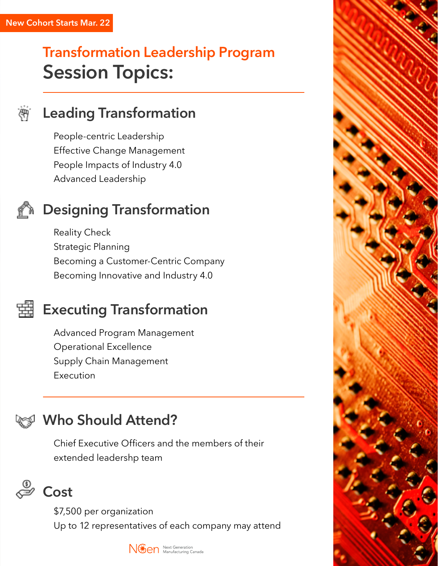# **Transformation Leadership Program Session Topics:**

.<br>सम

#### **Leading Transformation**

People-centric Leadership Effective Change Management People Impacts of Industry 4.0 Advanced Leadership

### **Designing Transformation**

Reality Check Strategic Planning Becoming a Customer-Centric Company Becoming Innovative and Industry 4.0

### **Executing Transformation**

Advanced Program Management Operational Excellence Supply Chain Management Execution

### **Who Should Attend?**

Chief Executive Officers and the members of their extended leadershp team



\$7,500 per organization Up to 12 representatives of each company may attend